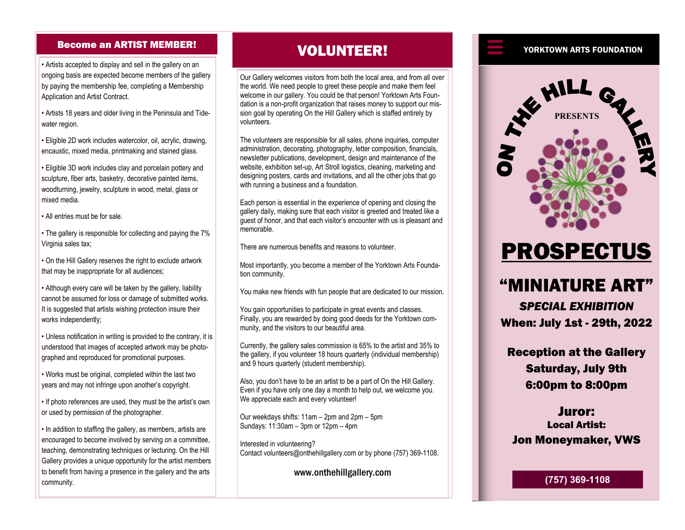#### Become an ARTIST MEMBER!

• Artists accepted to display and sell in the gallery on an ongoing basis are expected become members of the gallery by paying the membership fee, completing a Membership Application and Artist Contract.

• Artists 18 years and older living in the Peninsula and Tidewater region.

• Eligible 2D work includes watercolor, oil, acrylic, drawing, encaustic, mixed media, printmaking and stained glass.

• Eligible 3D work includes clay and porcelain pottery and sculpture, fiber arts, basketry, decorative painted items, woodturning, jewelry, sculpture in wood, metal, glass or mixed media.

• All entries must be for sale.

• The gallery is responsible for collecting and paying the 7% Virginia sales tax:

• On the Hill Gallery reserves the right to exclude artwork that may be inappropriate for all audiences;

• Although every care will be taken by the gallery, liability cannot be assumed for loss or damage of submitted works. It is suggested that artists wishing protection insure their works independently;

• Unless notification in writing is provided to the contrary, it is understood that images of accepted artwork may be photographed and reproduced for promotional purposes.

• Works must be original, completed within the last two years and may not infringe upon another's copyright.

• If photo references are used, they must be the artist's own or used by permission of the photographer.

• In addition to staffing the gallery, as members, artists are encouraged to become involved by serving on a committee, teaching, demonstrating techniques or lecturing. On the Hill Gallery provides a unique opportunity for the artist members to benefit from having a presence in the gallery and the arts community.

## VOLUNTEER!

Our Gallery welcomes visitors from both the local area, and from all over the world. We need people to greet these people and make them feel welcome in our gallery. You could be that person! Yorktown Arts Foundation is a non-profit organization that raises money to support our mission goal by operating On the Hill Gallery which is staffed entirely by volunteers.

The volunteers are responsible for all sales, phone inquiries, computer administration, decorating, photography, letter composition, financials, newsletter publications, development, design and maintenance of the website, exhibition set-up, Art Stroll logistics, cleaning, marketing and designing posters, cards and invitations, and all the other jobs that go with running a business and a foundation.

Each person is essential in the experience of opening and closing the gallery daily, making sure that each visitor is greeted and treated like a guest of honor, and that each visitor's encounter with us is pleasant and memorable.

There are numerous benefits and reasons to volunteer.

Most importantly, you become a member of the Yorktown Arts Foundation community.

You make new friends with fun people that are dedicated to our mission.

You gain opportunities to participate in great events and classes. Finally, you are rewarded by doing good deeds for the Yorktown community, and the visitors to our beautiful area.

Currently, the gallery sales commission is 65% to the artist and 35% to the gallery, if you volunteer 18 hours quarterly (individual membership) and 9 hours quarterly (student membership).

Also, you don't have to be an artist to be a part of On the Hill Gallery. Even if you have only one day a month to help out, we welcome you. We appreciate each and every volunteer!

Our weekdays shifts: 11am – 2pm and 2pm – 5pm Sundays: 11:30am – 3pm or 12pm – 4pm

Interested in volunteering? Contact volunteers@onthehillgallery.com or by phone (757) 369-1108.

www.onthehillgallery.com

#### YORKTOWN ARTS FOUNDATION



# PROSPECTUS

# "MINIATURE ART"

*SPECIAL EXHIBITION* When: July 1st - 29th, 2022

Reception at the Gallery Saturday, July 9th 6:00pm to 8:00pm

Juror: Local Artist: Jon Moneymaker, VWS

**(757) 369-1108**